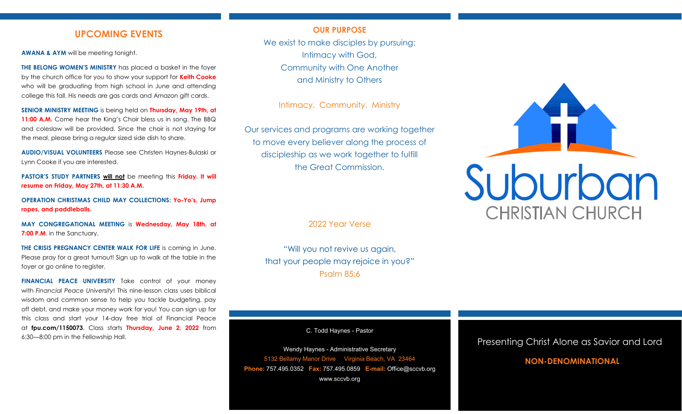## **UPCOMING EVENTS**

**AWANA & AYM** will be meeting tonight.

**THE BELONG WOMEN'S MINISTRY** has placed a basket in the foyer by the church office for you to show your support for **Keith Cooke**  who will be graduating from high school in June and attending college this fall. His needs are gas cards and Amazon gift cards.

**SENIOR MINISTRY MEETING** is being held on **Thursday, May 19th, at**  11:00 A.M. Come hear the King's Choir bless us in song. The BBQ and coleslaw will be provided. Since the choir is not staying for the meal, please bring a regular sized side dish to share.

**AUDIO/VISUAL VOLUNTEERS** Please see Christen Haynes-Bulaski or Lynn Cooke if you are interested.

**PASTOR'S STUDY PARTNERS will not** be meeting this **Friday. It will resume on Friday, May 27th, at 11:30 A.M.**

**OPERATION CHRISTMAS CHILD MAY COLLECTIONS: Yo-Yo's, Jump ropes, and paddleballs.**

**MAY CONGREGATIONAL MEETING** is **Wednesday, May 18th, at 7:00 P.M.** in the Sanctuary.

**THE CRISIS PREGNANCY CENTER WALK FOR LIFE** is coming in June. Please pray for a great turnout! Sign up to walk at the table in the foyer or go online to register.

**FINANCIAL PEACE UNIVERSITY** Take control of your money with *Financial Peace University*! This nine-lesson class uses biblical wisdom and common sense to help you tackle budgeting, pay off debt, and make your money work for you! You can sign up for this class and start your 14-day free trial of Financial Peace at **fpu.com/1150073**. Class starts **Thursday, June 2, 2022** from 6:30—8:00 pm in the Fellowship Hall.

### **OUR PURPOSE**

We exist to make disciples by pursuing: Intimacy with God, Community with One Another and Ministry to Others

Intimacy. Community. Ministry

Our services and programs are working together to move every believer along the process of discipleship as we work together to fulfill the Great Commission.

2022 Year Verse

"Will you not revive us again, that your people may rejoice in you?" Psalm 85:6

C. Todd Haynes - Pastor

Wendy Haynes - Administrative Secretary 5132 Bellamy Manor Drive Virginia Beach, VA 23464 **Phone:** 757.495.0352 **Fax:** 757.495.0859 **E-mail:** Office@sccvb.org www.sccvb.org



## Presenting Christ Alone as Savior and Lord

## **NON-DENOMINATIONAL**